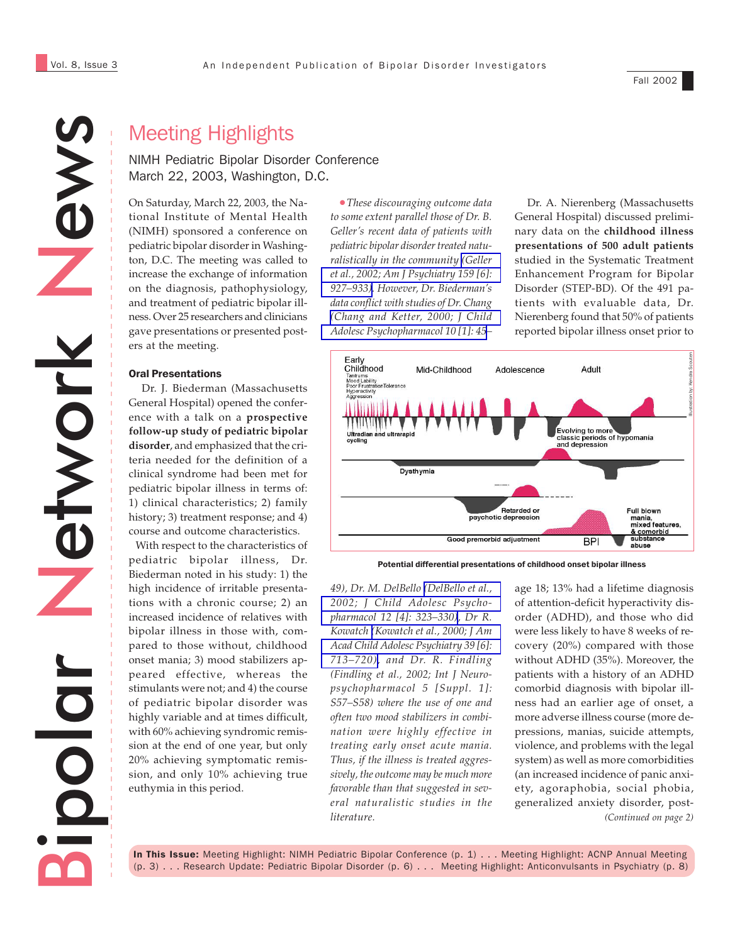Fall 2002

# News Network etwork Bipolar

# Meeting Highlights

### NIMH Pediatric Bipolar Disorder Conference March 22, 2003, Washington, D.C.

On Saturday, March 22, 2003, the National Institute of Mental Health (NIMH) sponsored a conference on pediatric bipolar disorder in Washington, D.C. The meeting was called to increase the exchange of information on the diagnosis, pathophysiology, and treatment of pediatric bipolar illness. Over 25 researchers and clinicians gave presentations or presented posters at the meeting.

### Oral Presentations

 Dr. J. Biederman (Massachusetts General Hospital) opened the conference with a talk on a **prospective follow-up study of pediatric bipolar disorder**, and emphasized that the criteria needed for the definition of a clinical syndrome had been met for pediatric bipolar illness in terms of: 1) clinical characteristics; 2) family history; 3) treatment response; and 4) course and outcome characteristics.

 With respect to the characteristics of pediatric bipolar illness, Dr. Biederman noted in his study: 1) the high incidence of irritable presentations with a chronic course; 2) an increased incidence of relatives with bipolar illness in those with, compared to those without, childhood onset mania; 3) mood stabilizers appeared effective, whereas the stimulants were not; and 4) the course of pediatric bipolar disorder was highly variable and at times difficult, with 60% achieving syndromic remission at the end of one year, but only 20% achieving symptomatic remission, and only 10% achieving true euthymia in this period.

•*These discouraging outcome data to some extent parallel those of Dr. B. Geller's recent data of patients with pediatric bipolar disorder treated naturalistically in the community [\(Geller](http://www.ncbi.nlm.nih.gov/entrez/query.fcgi?cmd=Retrieve&db=PubMed&list_uids=12042179&dopt=Abstract) [et al., 2002; Am J Psychiatry 159 \[6\]:](http://www.ncbi.nlm.nih.gov/entrez/query.fcgi?cmd=Retrieve&db=PubMed&list_uids=12042179&dopt=Abstract) [927–933\)](http://www.ncbi.nlm.nih.gov/entrez/query.fcgi?cmd=Retrieve&db=PubMed&list_uids=12042179&dopt=Abstract). However, Dr. Biederman's data conflict with studies of Dr. Chang [\(Chang and Ketter, 2000; J Child](http://www.ncbi.nlm.nih.gov/entrez/query.fcgi?cmd=Retrieve&db=PubMed&list_uids=10755582&dopt=Abstract) [Adolesc Psychopharmacol 10 \[1\]: 45](http://www.ncbi.nlm.nih.gov/entrez/query.fcgi?cmd=Retrieve&db=PubMed&list_uids=10755582&dopt=Abstract)–*

 Dr. A. Nierenberg (Massachusetts General Hospital) discussed preliminary data on the **childhood illness presentations of 500 adult patients** studied in the Systematic Treatment Enhancement Program for Bipolar Disorder (STEP-BD). Of the 491 patients with evaluable data, Dr. Nierenberg found that 50% of patients reported bipolar illness onset prior to



*49), Dr. M. DelBello [\(DelBello et al.,](http://www.ncbi.nlm.nih.gov/entrez/query.fcgi?cmd=Retrieve&db=PubMed&list_uids=12625992&dopt=Abstract) [2002; J Child Adolesc Psycho](http://www.ncbi.nlm.nih.gov/entrez/query.fcgi?cmd=Retrieve&db=PubMed&list_uids=12625992&dopt=Abstract)[pharmacol 12 \[4\]: 323–330\)](http://www.ncbi.nlm.nih.gov/entrez/query.fcgi?cmd=Retrieve&db=PubMed&list_uids=12625992&dopt=Abstract), Dr R. Kowatch [\(Kowatch et al., 2000; J Am](http://www.ncbi.nlm.nih.gov/entrez/query.fcgi?cmd=Retrieve&db=PubMed&list_uids=10846305&dopt=Abstract) [Acad Child Adolesc Psychiatry 39 \[6\]:](http://www.ncbi.nlm.nih.gov/entrez/query.fcgi?cmd=Retrieve&db=PubMed&list_uids=10846305&dopt=Abstract) [713–720\),](http://www.ncbi.nlm.nih.gov/entrez/query.fcgi?cmd=Retrieve&db=PubMed&list_uids=10846305&dopt=Abstract) and Dr. R. Findling (Findling et al., 2002; Int J Neuropsychopharmacol 5 [Suppl. 1]: S57–S58) where the use of one and often two mood stabilizers in combination were highly effective in treating early onset acute mania. Thus, if the illness is treated aggressively, the outcome may be much more favorable than that suggested in several naturalistic studies in the literature.*

*(Continued on page 2)* age 18; 13% had a lifetime diagnosis of attention-deficit hyperactivity disorder (ADHD), and those who did were less likely to have 8 weeks of recovery (20%) compared with those without ADHD (35%). Moreover, the patients with a history of an ADHD comorbid diagnosis with bipolar illness had an earlier age of onset, a more adverse illness course (more depressions, manias, suicide attempts, violence, and problems with the legal system) as well as more comorbidities (an increased incidence of panic anxiety, agoraphobia, social phobia, generalized anxiety disorder, post-

In This Issue: Meeting Highlight: NIMH Pediatric Bipolar Conference (p. 1) . . . Meeting Highlight: ACNP Annual Meeting (p. 3) . . . Research Update: Pediatric Bipolar Disorder (p. 6) . . . Meeting Highlight: Anticonvulsants in Psychiatry (p. 8)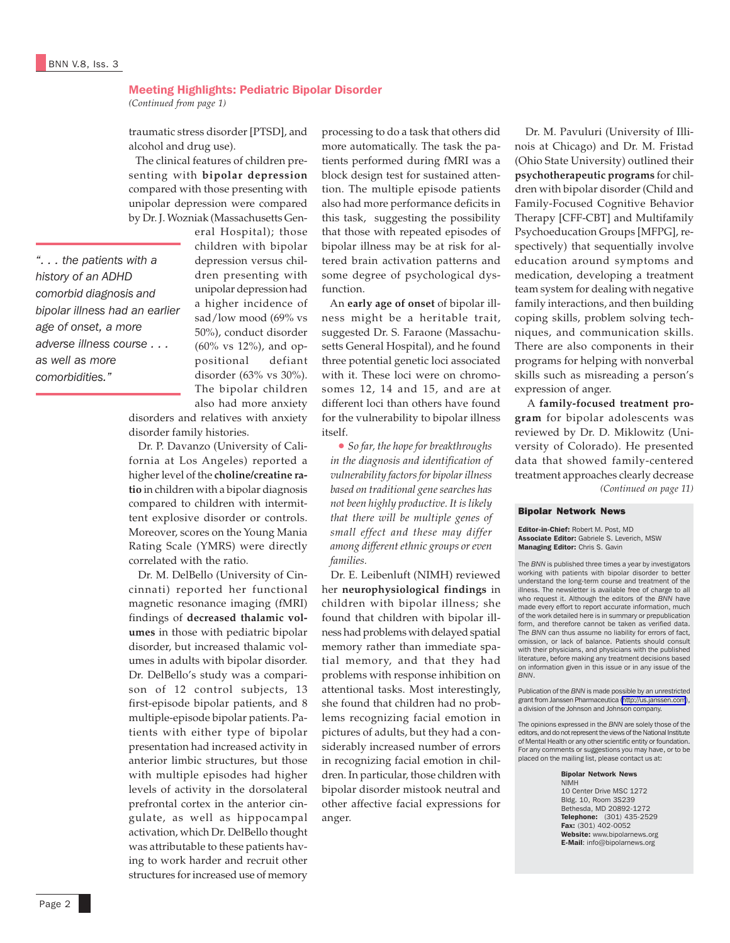### Meeting Highlights: Pediatric Bipolar Disorder

*(Continued from page 1)*

traumatic stress disorder [PTSD], and alcohol and drug use).

 The clinical features of children presenting with **bipolar depression** compared with those presenting with unipolar depression were compared by Dr. J. Wozniak (Massachusetts Gen-

*". . . the patients with a history of an ADHD comorbid diagnosis and bipolar illness had an earlier age of onset, a more adverse illness course . . . as well as more comorbidities."*

eral Hospital); those children with bipolar depression versus children presenting with unipolar depression had a higher incidence of sad/low mood (69% vs 50%), conduct disorder (60% vs 12%), and oppositional defiant disorder (63% vs 30%). The bipolar children also had more anxiety

disorders and relatives with anxiety disorder family histories.

 Dr. P. Davanzo (University of California at Los Angeles) reported a higher level of the **choline/creatine ratio** in children with a bipolar diagnosis compared to children with intermittent explosive disorder or controls. Moreover, scores on the Young Mania Rating Scale (YMRS) were directly correlated with the ratio.

 Dr. M. DelBello (University of Cincinnati) reported her functional magnetic resonance imaging (fMRI) findings of **decreased thalamic volumes** in those with pediatric bipolar disorder, but increased thalamic volumes in adults with bipolar disorder. Dr. DelBello's study was a comparison of 12 control subjects, 13 first-episode bipolar patients, and 8 multiple-episode bipolar patients. Patients with either type of bipolar presentation had increased activity in anterior limbic structures, but those with multiple episodes had higher levels of activity in the dorsolateral prefrontal cortex in the anterior cingulate, as well as hippocampal activation, which Dr. DelBello thought was attributable to these patients having to work harder and recruit other structures for increased use of memory

processing to do a task that others did more automatically. The task the patients performed during fMRI was a block design test for sustained attention. The multiple episode patients also had more performance deficits in this task, suggesting the possibility that those with repeated episodes of bipolar illness may be at risk for altered brain activation patterns and some degree of psychological dysfunction.

 An **early age of onset** of bipolar illness might be a heritable trait, suggested Dr. S. Faraone (Massachusetts General Hospital), and he found three potential genetic loci associated with it. These loci were on chromosomes 12, 14 and 15, and are at different loci than others have found for the vulnerability to bipolar illness itself.

• *So far, the hope for breakthroughs in the diagnosis and identification of vulnerability factors for bipolar illness based on traditional gene searches has not been highly productive. It is likely that there will be multiple genes of small effect and these may differ among different ethnic groups or even families.*

 Dr. E. Leibenluft (NIMH) reviewed her **neurophysiological findings** in children with bipolar illness; she found that children with bipolar illness had problems with delayed spatial memory rather than immediate spatial memory, and that they had problems with response inhibition on attentional tasks. Most interestingly, she found that children had no problems recognizing facial emotion in pictures of adults, but they had a considerably increased number of errors in recognizing facial emotion in children. In particular, those children with bipolar disorder mistook neutral and other affective facial expressions for anger.

 Dr. M. Pavuluri (University of Illinois at Chicago) and Dr. M. Fristad (Ohio State University) outlined their **psychotherapeutic programs** for children with bipolar disorder (Child and Family-Focused Cognitive Behavior Therapy [CFF-CBT] and Multifamily Psychoeducation Groups [MFPG], respectively) that sequentially involve education around symptoms and medication, developing a treatment team system for dealing with negative family interactions, and then building coping skills, problem solving techniques, and communication skills. There are also components in their programs for helping with nonverbal skills such as misreading a person's expression of anger.

*(Continued on page 11)* A **family-focused treatment program** for bipolar adolescents was reviewed by Dr. D. Miklowitz (University of Colorado). He presented data that showed family-centered treatment approaches clearly decrease

### Bipolar Network News

Editor-in-Chief: Robert M. Post, MD Associate Editor: Gabriele S. Leverich, MSW Managing Editor: Chris S. Gavin

The *BNN* is published three times a year by investigators working with patients with bipolar disorder to better understand the long-term course and treatment of the illness. The newsletter is available free of charge to all who request it. Although the editors of the *BNN* have made every effort to report accurate information, much of the work detailed here is in summary or prepublication form, and therefore cannot be taken as verified data. The *BNN* can thus assume no liability for errors of fact, omission, or lack of balance. Patients should consult with their physicians, and physicians with the published literature, before making any treatment decisions based on information given in this issue or in any issue of the *BNN*.

Publication of the *BNN* is made possible by an unrestricted grant from Janssen Pharmaceutica [\(http://us.janssen.com](http://www.janssen.com/)), a division of the Johnson and Johnson company.

The opinions expressed in the *BNN* are solely those of the editors, and do not represent the views of the National Institute of Mental Health or any other scientific entity or foundation. For any comments or suggestions you may have, or to be placed on the mailing list, please contact us at:

### Bipolar Network News NIMH

10 Center Drive MSC 1272 Bldg. 10, Room 3S239 Bethesda, MD 20892-1272 Telephone: (301) 435-2529 Fax: (301) 402-0052 Website: www.bipolarnews.org E-Mail: info@bipolarnews.org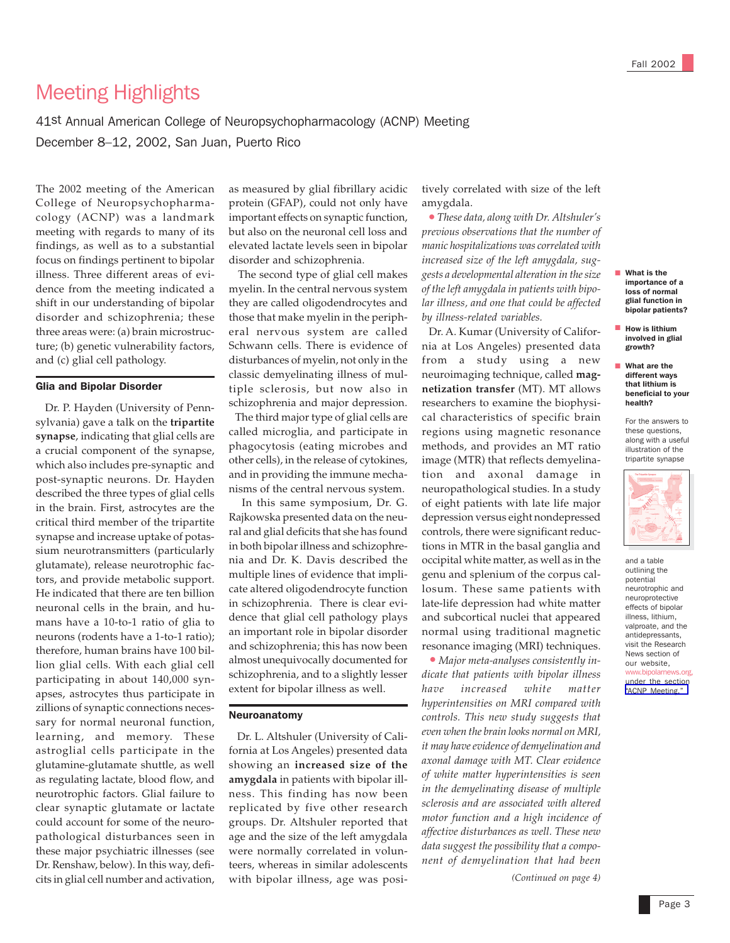# Meeting Highlights

41st Annual American College of Neuropsychopharmacology (ACNP) Meeting December 8–12, 2002, San Juan, Puerto Rico

The 2002 meeting of the American College of Neuropsychopharmacology (ACNP) was a landmark meeting with regards to many of its findings, as well as to a substantial focus on findings pertinent to bipolar illness. Three different areas of evidence from the meeting indicated a shift in our understanding of bipolar disorder and schizophrenia; these three areas were: (a) brain microstructure; (b) genetic vulnerability factors, and (c) glial cell pathology.

### Glia and Bipolar Disorder

 Dr. P. Hayden (University of Pennsylvania) gave a talk on the **tripartite synapse**, indicating that glial cells are a crucial component of the synapse, which also includes pre-synaptic and post-synaptic neurons. Dr. Hayden described the three types of glial cells in the brain. First, astrocytes are the critical third member of the tripartite synapse and increase uptake of potassium neurotransmitters (particularly glutamate), release neurotrophic factors, and provide metabolic support. He indicated that there are ten billion neuronal cells in the brain, and humans have a 10-to-1 ratio of glia to neurons (rodents have a 1-to-1 ratio); therefore, human brains have 100 billion glial cells. With each glial cell participating in about 140,000 synapses, astrocytes thus participate in zillions of synaptic connections necessary for normal neuronal function, learning, and memory. These astroglial cells participate in the glutamine-glutamate shuttle, as well as regulating lactate, blood flow, and neurotrophic factors. Glial failure to clear synaptic glutamate or lactate could account for some of the neuropathological disturbances seen in these major psychiatric illnesses (see Dr. Renshaw, below). In this way, deficits in glial cell number and activation,

as measured by glial fibrillary acidic protein (GFAP), could not only have important effects on synaptic function, but also on the neuronal cell loss and elevated lactate levels seen in bipolar disorder and schizophrenia.

 The second type of glial cell makes myelin. In the central nervous system they are called oligodendrocytes and those that make myelin in the peripheral nervous system are called Schwann cells. There is evidence of disturbances of myelin, not only in the classic demyelinating illness of multiple sclerosis, but now also in schizophrenia and major depression. The third major type of glial cells are called microglia, and participate in phagocytosis (eating microbes and other cells), in the release of cytokines,

and in providing the immune mechanisms of the central nervous system. In this same symposium, Dr. G.

Rajkowska presented data on the neural and glial deficits that she has found in both bipolar illness and schizophrenia and Dr. K. Davis described the multiple lines of evidence that implicate altered oligodendrocyte function in schizophrenia. There is clear evidence that glial cell pathology plays an important role in bipolar disorder and schizophrenia; this has now been almost unequivocally documented for schizophrenia, and to a slightly lesser extent for bipolar illness as well.

### Neuroanatomy

 Dr. L. Altshuler (University of California at Los Angeles) presented data showing an **increased size of the amygdala** in patients with bipolar illness. This finding has now been replicated by five other research groups. Dr. Altshuler reported that age and the size of the left amygdala were normally correlated in volunteers, whereas in similar adolescents with bipolar illness, age was posi-

tively correlated with size of the left amygdala.

 *• These data, along with Dr. Altshuler's previous observations that the number of manic hospitalizations was correlated with increased size of the left amygdala, suggests a developmental alteration in the size of the left amygdala in patients with bipolar illness, and one that could be affected by illness-related variables.*

 Dr. A. Kumar (University of California at Los Angeles) presented data from a study using a new neuroimaging technique, called **magnetization transfer** (MT). MT allows researchers to examine the biophysical characteristics of specific brain regions using magnetic resonance methods, and provides an MT ratio image (MTR) that reflects demyelination and axonal damage in neuropathological studies. In a study of eight patients with late life major depression versus eight nondepressed controls, there were significant reductions in MTR in the basal ganglia and occipital white matter, as well as in the genu and splenium of the corpus callosum. These same patients with late-life depression had white matter and subcortical nuclei that appeared normal using traditional magnetic resonance imaging (MRI) techniques.

 *• Major meta-analyses consistently indicate that patients with bipolar illness have increased white matter hyperintensities on MRI compared with controls. This new study suggests that even when the brain looks normal on MRI, it may have evidence of demyelination and axonal damage with MT. Clear evidence of white matter hyperintensities is seen in the demyelinating disease of multiple sclerosis and are associated with altered motor function and a high incidence of affective disturbances as well. These new data suggest the possibility that a component of demyelination that had been*

*(Continued on page 4)*

- What is the importance of a loss of normal glial function in bipolar patients?
- How is lithium involved in glial growth?
- What are the different ways that lithium is beneficial to your health?

For the answers to these questions, along with a useful illustration of the tripartite synapse



and a table outlining the potential neurotrophic and neuroprotective effects of bipolar illness, lithium, valproate, and the antidepressants, visit the Research News section of our website, www.bipolarnews.org, under the section ["ACNP Meeting."](http://www.bipolarnews.org/Research%20News.htm)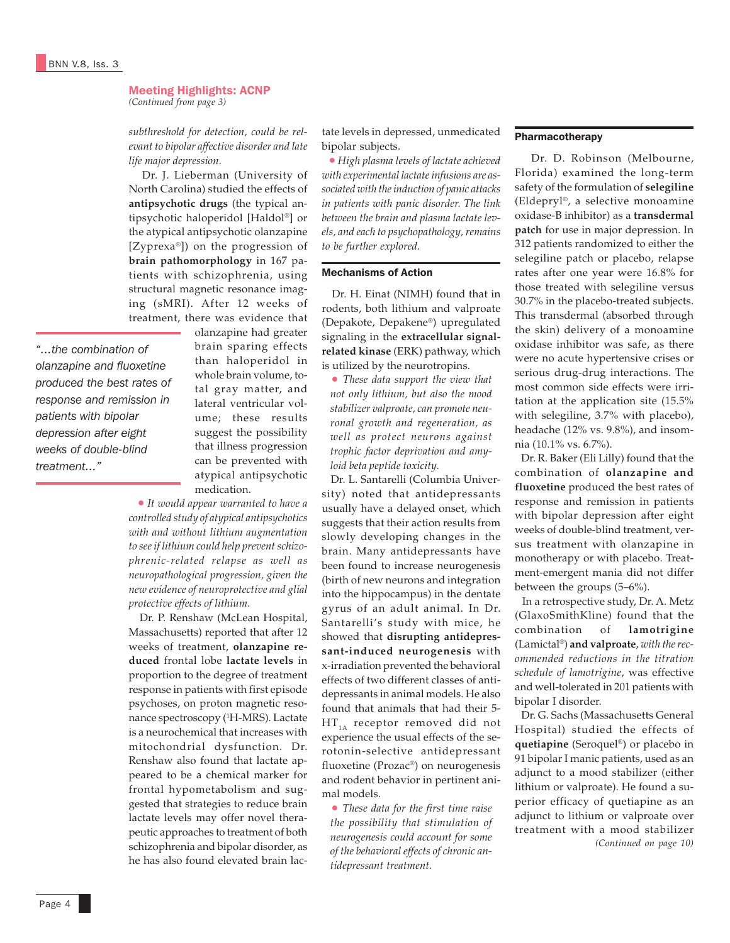## Meeting Highlights: ACNP

*(Continued from page 3)*

*subthreshold for detection, could be relevant to bipolar affective disorder and late life major depression.*

 Dr. J. Lieberman (University of North Carolina) studied the effects of **antipsychotic drugs** (the typical antipsychotic haloperidol [Haldol®] or the atypical antipsychotic olanzapine [Zyprexa®]) on the progression of **brain pathomorphology** in 167 patients with schizophrenia, using structural magnetic resonance imaging (sMRI). After 12 weeks of treatment, there was evidence that

*"...the combination of olanzapine and fluoxetine produced the best rates of response and remission in patients with bipolar depression after eight weeks of double-blind treatment..."*

olanzapine had greater brain sparing effects than haloperidol in whole brain volume, total gray matter, and lateral ventricular volume; these results suggest the possibility that illness progression can be prevented with atypical antipsychotic medication.

 *• It would appear warranted to have a controlled study of atypical antipsychotics with and without lithium augmentation to see if lithium could help prevent schizophrenic-related relapse as well as neuropathological progression, given the new evidence of neuroprotective and glial protective effects of lithium.*

 Dr. P. Renshaw (McLean Hospital, Massachusetts) reported that after 12 weeks of treatment, **olanzapine reduced** frontal lobe **lactate levels** in proportion to the degree of treatment response in patients with first episode psychoses, on proton magnetic resonance spectroscopy (1 H-MRS). Lactate is a neurochemical that increases with mitochondrial dysfunction. Dr. Renshaw also found that lactate appeared to be a chemical marker for frontal hypometabolism and suggested that strategies to reduce brain lactate levels may offer novel therapeutic approaches to treatment of both schizophrenia and bipolar disorder, as he has also found elevated brain lac-

tate levels in depressed, unmedicated bipolar subjects.

 *• High plasma levels of lactate achieved with experimental lactate infusions are associated with the induction of panic attacks in patients with panic disorder. The link between the brain and plasma lactate levels, and each to psychopathology, remains to be further explored.*

### Mechanisms of Action

 Dr. H. Einat (NIMH) found that in rodents, both lithium and valproate (Depakote, Depakene®) upregulated signaling in the **extracellular signalrelated kinase** (ERK) pathway, which is utilized by the neurotropins.

• *These data support the view that not only lithium, but also the mood stabilizer valproate, can promote neuronal growth and regeneration, as well as protect neurons against trophic factor deprivation and amyloid beta peptide toxicity.*

 Dr. L. Santarelli (Columbia University) noted that antidepressants usually have a delayed onset, which suggests that their action results from slowly developing changes in the brain. Many antidepressants have been found to increase neurogenesis (birth of new neurons and integration into the hippocampus) in the dentate gyrus of an adult animal. In Dr. Santarelli's study with mice, he showed that **disrupting antidepressant-induced neurogenesis** with x-irradiation prevented the behavioral effects of two different classes of antidepressants in animal models. He also found that animals that had their 5-  $HT_{1A}$  receptor removed did not experience the usual effects of the serotonin-selective antidepressant fluoxetine (Prozac®) on neurogenesis and rodent behavior in pertinent animal models.

• *These data for the first time raise the possibility that stimulation of neurogenesis could account for some of the behavioral effects of chronic antidepressant treatment.*

### Pharmacotherapy

 Dr. D. Robinson (Melbourne, Florida) examined the long-term safety of the formulation of **selegiline** (Eldepryl®, a selective monoamine oxidase-B inhibitor) as a **transdermal patch** for use in major depression. In 312 patients randomized to either the selegiline patch or placebo, relapse rates after one year were 16.8% for those treated with selegiline versus 30.7% in the placebo-treated subjects. This transdermal (absorbed through the skin) delivery of a monoamine oxidase inhibitor was safe, as there were no acute hypertensive crises or serious drug-drug interactions. The most common side effects were irritation at the application site (15.5% with selegiline, 3.7% with placebo), headache (12% vs. 9.8%), and insomnia (10.1% vs. 6.7%).

 Dr. R. Baker (Eli Lilly) found that the combination of **olanzapine and fluoxetine** produced the best rates of response and remission in patients with bipolar depression after eight weeks of double-blind treatment, versus treatment with olanzapine in monotherapy or with placebo. Treatment-emergent mania did not differ between the groups (5–6%).

 In a retrospective study, Dr. A. Metz (GlaxoSmithKline) found that the combination of **lamotrigine** (Lamictal®) **and valproate**, *with the recommended reductions in the titration schedule of lamotrigine*, was effective and well-tolerated in 201 patients with bipolar I disorder.

*(Continued on page 10)* Dr. G. Sachs (Massachusetts General Hospital) studied the effects of **quetiapine** (Seroquel®) or placebo in 91 bipolar I manic patients, used as an adjunct to a mood stabilizer (either lithium or valproate). He found a superior efficacy of quetiapine as an adjunct to lithium or valproate over treatment with a mood stabilizer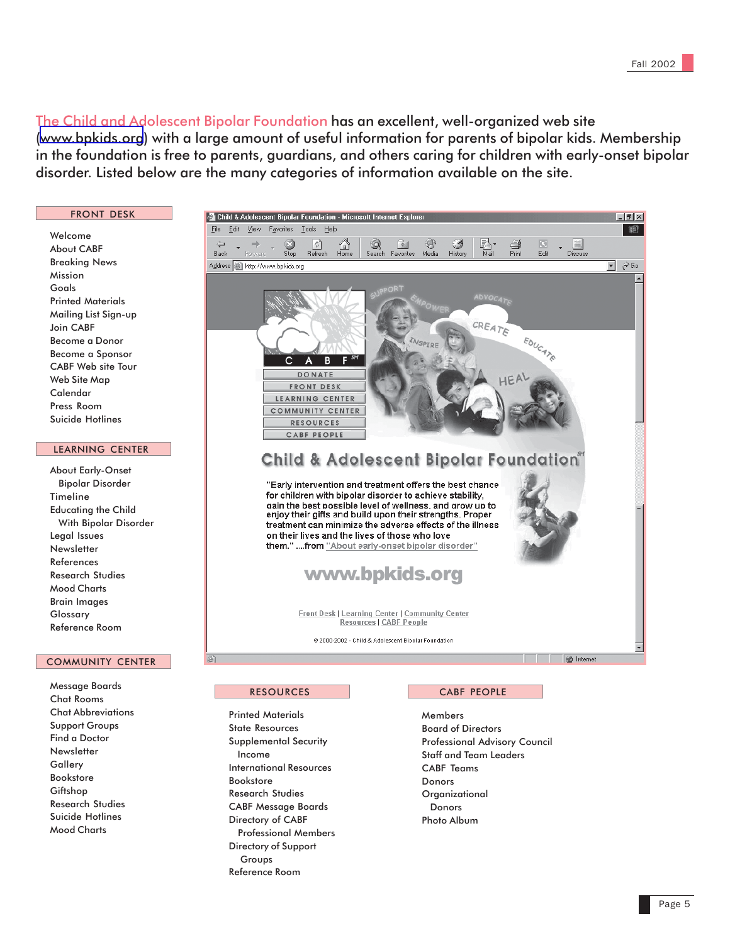The Child and Adolescent Bipolar Foundation has an excellent, well-organized web site ([www.bpkids.org](http://www.bpkids.org)) with a large amount of useful information for parents of bipolar kids. Membership in the foundation is free to parents, guardians, and others caring for children with early-onset bipolar disorder. Listed below are the many categories of information available on the site.

### FRONT DESK

Welcome About CABF Breaking News Mission Goals Printed Materials Mailing List Sign-up Join CABF Become a Donor Become a Sponsor CABF Web site Tour Web Site Map Calendar Press Room Suicide Hotlines

### LEARNING CENTER

About Early-Onset Bipolar Disorder Timeline Educating the Child With Bipolar Disorder Legal Issues **Newsletter** References Research Studies Mood Charts Brain Images Glossary Reference Room

### COMMUNITY CENTER

Message Boards Chat Rooms Chat Abbreviations Support Groups Find a Doctor **Newsletter Gallerv** Bookstore Giftshop Research Studies Suicide Hotlines Mood Charts



### RESOURCES

Printed Materials State Resources Supplemental Security Income International Resources Bookstore Research Studies CABF Message Boards Directory of CABF Professional Members Directory of Support Groups Reference Room

### CABF PEOPLE

Members Board of Directors Professional Advisory Council Staff and Team Leaders CABF Teams Donors **Organizational**  Donors Photo Album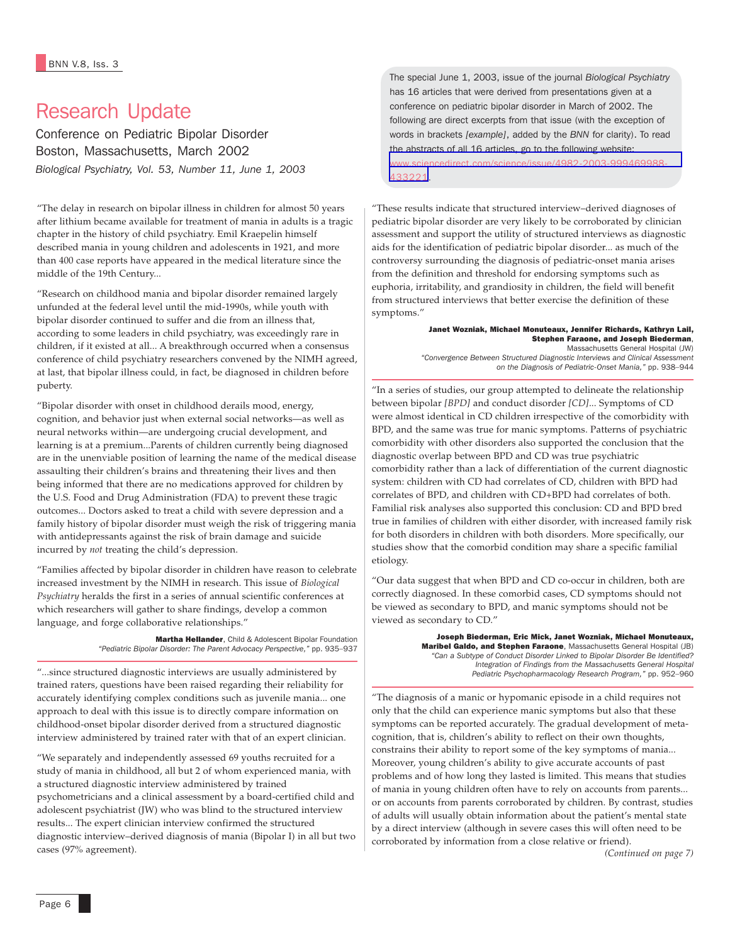# Research Update

Conference on Pediatric Bipolar Disorder Boston, Massachusetts, March 2002 *Biological Psychiatry, Vol. 53, Number 11, June 1, 2003*

"The delay in research on bipolar illness in children for almost 50 years after lithium became available for treatment of mania in adults is a tragic chapter in the history of child psychiatry. Emil Kraepelin himself described mania in young children and adolescents in 1921, and more than 400 case reports have appeared in the medical literature since the middle of the 19th Century...

"Research on childhood mania and bipolar disorder remained largely unfunded at the federal level until the mid-1990s, while youth with bipolar disorder continued to suffer and die from an illness that, according to some leaders in child psychiatry, was exceedingly rare in children, if it existed at all... A breakthrough occurred when a consensus conference of child psychiatry researchers convened by the NIMH agreed, at last, that bipolar illness could, in fact, be diagnosed in children before puberty.

"Bipolar disorder with onset in childhood derails mood, energy, cognition, and behavior just when external social networks—as well as neural networks within—are undergoing crucial development, and learning is at a premium...Parents of children currently being diagnosed are in the unenviable position of learning the name of the medical disease assaulting their children's brains and threatening their lives and then being informed that there are no medications approved for children by the U.S. Food and Drug Administration (FDA) to prevent these tragic outcomes... Doctors asked to treat a child with severe depression and a family history of bipolar disorder must weigh the risk of triggering mania with antidepressants against the risk of brain damage and suicide incurred by *not* treating the child's depression.

"Families affected by bipolar disorder in children have reason to celebrate increased investment by the NIMH in research. This issue of *Biological Psychiatry* heralds the first in a series of annual scientific conferences at which researchers will gather to share findings, develop a common language, and forge collaborative relationships."

> Martha Hellander, Child & Adolescent Bipolar Foundation *"Pediatric Bipolar Disorder: The Parent Advocacy Perspective,"* pp. 935*–*937

"...since structured diagnostic interviews are usually administered by trained raters, questions have been raised regarding their reliability for accurately identifying complex conditions such as juvenile mania... one approach to deal with this issue is to directly compare information on childhood-onset bipolar disorder derived from a structured diagnostic interview administered by trained rater with that of an expert clinician.

"We separately and independently assessed 69 youths recruited for a study of mania in childhood, all but 2 of whom experienced mania, with a structured diagnostic interview administered by trained psychometricians and a clinical assessment by a board-certified child and adolescent psychiatrist (JW) who was blind to the structured interview results... The expert clinician interview confirmed the structured diagnostic interview–derived diagnosis of mania (Bipolar I) in all but two cases (97% agreement).

The special June 1, 2003, issue of the journal *Biological Psychiatry* has 16 articles that were derived from presentations given at a conference on pediatric bipolar disorder in March of 2002. The following are direct excerpts from that issue (with the exception of words in brackets *[example]*, added by the *BNN* for clarity). To read the abstracts of all 16 articles, go to the following website: [www.sciencedirect.com/science/issue/4982-2003-999469988-](http://www.sciencedirect.com/science?_ob=IssueURL&_tockey=%23TOC%234982%232003%23999469988%23433221%23FLA%23Volume_53,_Issue_11,_Pages_931-1068_(1_June_2003)&_auth=y&view=c&_acct=C000050221&_version=1&_urlVersion=0&_userid=10&md5=631927ae976b01a775e3c4a4b12e908b) [433221](http://www.sciencedirect.com/science?_ob=IssueURL&_tockey=%23TOC%234982%232003%23999469988%23433221%23FLA%23Volume_53,_Issue_11,_Pages_931-1068_(1_June_2003)&_auth=y&view=c&_acct=C000050221&_version=1&_urlVersion=0&_userid=10&md5=631927ae976b01a775e3c4a4b12e908b).

"These results indicate that structured interview–derived diagnoses of pediatric bipolar disorder are very likely to be corroborated by clinician assessment and support the utility of structured interviews as diagnostic aids for the identification of pediatric bipolar disorder... as much of the controversy surrounding the diagnosis of pediatric-onset mania arises from the definition and threshold for endorsing symptoms such as euphoria, irritability, and grandiosity in children, the field will benefit from structured interviews that better exercise the definition of these symptoms."

> Janet Wozniak, Michael Monuteaux, Jennifer Richards, Kathryn Lail, Stephen Faraone, and Joseph Biederman, Massachusetts General Hospital (JW) *"Convergence Between Structured Diagnostic Interviews and Clinical Assessment*

*on the Diagnosis of Pediatric-Onset Mania,"* pp. 938–944

"In a series of studies, our group attempted to delineate the relationship between bipolar *[BPD]* and conduct disorder *[CD]*... Symptoms of CD were almost identical in CD children irrespective of the comorbidity with BPD, and the same was true for manic symptoms. Patterns of psychiatric comorbidity with other disorders also supported the conclusion that the diagnostic overlap between BPD and CD was true psychiatric comorbidity rather than a lack of differentiation of the current diagnostic system: children with CD had correlates of CD, children with BPD had correlates of BPD, and children with CD+BPD had correlates of both. Familial risk analyses also supported this conclusion: CD and BPD bred true in families of children with either disorder, with increased family risk for both disorders in children with both disorders. More specifically, our studies show that the comorbid condition may share a specific familial etiology.

"Our data suggest that when BPD and CD co-occur in children, both are correctly diagnosed. In these comorbid cases, CD symptoms should not be viewed as secondary to BPD, and manic symptoms should not be viewed as secondary to CD."

> Joseph Biederman, Eric Mick, Janet Wozniak, Michael Monuteaux, Maribel Galdo, and Stephen Faraone, Massachusetts General Hospital (JB) *"Can a Subtype of Conduct Disorder Linked to Bipolar Disorder Be Identified? Integration of Findings from the Massachusetts General Hospital Pediatric Psychopharmacology Research Program,"* pp. 952–960

"The diagnosis of a manic or hypomanic episode in a child requires not only that the child can experience manic symptoms but also that these symptoms can be reported accurately. The gradual development of metacognition, that is, children's ability to reflect on their own thoughts, constrains their ability to report some of the key symptoms of mania... Moreover, young children's ability to give accurate accounts of past problems and of how long they lasted is limited. This means that studies of mania in young children often have to rely on accounts from parents... or on accounts from parents corroborated by children. By contrast, studies of adults will usually obtain information about the patient's mental state by a direct interview (although in severe cases this will often need to be corroborated by information from a close relative or friend).

*(Continued on page 7)*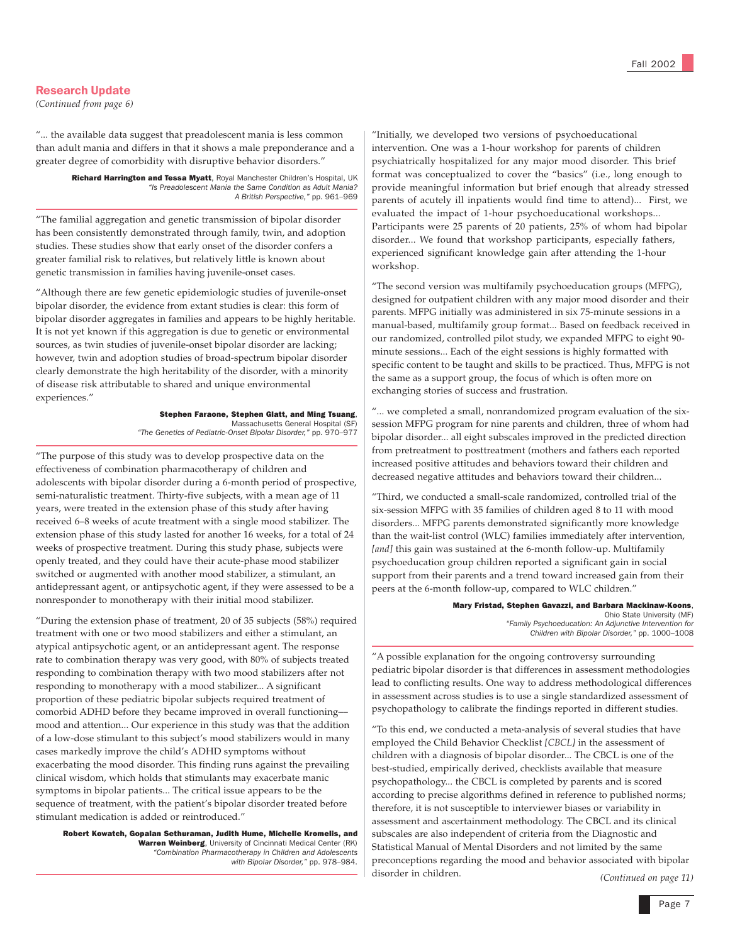### Research Update

*(Continued from page 6)*

"... the available data suggest that preadolescent mania is less common than adult mania and differs in that it shows a male preponderance and a greater degree of comorbidity with disruptive behavior disorders."

> Richard Harrington and Tessa Myatt, Royal Manchester Children's Hospital, UK *"Is Preadolescent Mania the Same Condition as Adult Mania? A British Perspective,"* pp. 961–969

"The familial aggregation and genetic transmission of bipolar disorder has been consistently demonstrated through family, twin, and adoption studies. These studies show that early onset of the disorder confers a greater familial risk to relatives, but relatively little is known about genetic transmission in families having juvenile-onset cases.

"Although there are few genetic epidemiologic studies of juvenile-onset bipolar disorder, the evidence from extant studies is clear: this form of bipolar disorder aggregates in families and appears to be highly heritable. It is not yet known if this aggregation is due to genetic or environmental sources, as twin studies of juvenile-onset bipolar disorder are lacking; however, twin and adoption studies of broad-spectrum bipolar disorder clearly demonstrate the high heritability of the disorder, with a minority of disease risk attributable to shared and unique environmental experiences."

> Stephen Faraone, Stephen Glatt, and Ming Tsuang, Massachusetts General Hospital (SF) *"The Genetics of Pediatric-Onset Bipolar Disorder,"* pp. 970–977

"The purpose of this study was to develop prospective data on the effectiveness of combination pharmacotherapy of children and adolescents with bipolar disorder during a 6-month period of prospective, semi-naturalistic treatment. Thirty-five subjects, with a mean age of 11 years, were treated in the extension phase of this study after having received 6–8 weeks of acute treatment with a single mood stabilizer. The extension phase of this study lasted for another 16 weeks, for a total of 24 weeks of prospective treatment. During this study phase, subjects were openly treated, and they could have their acute-phase mood stabilizer switched or augmented with another mood stabilizer, a stimulant, an antidepressant agent, or antipsychotic agent, if they were assessed to be a nonresponder to monotherapy with their initial mood stabilizer.

"During the extension phase of treatment, 20 of 35 subjects (58%) required treatment with one or two mood stabilizers and either a stimulant, an atypical antipsychotic agent, or an antidepressant agent. The response rate to combination therapy was very good, with 80% of subjects treated responding to combination therapy with two mood stabilizers after not responding to monotherapy with a mood stabilizer... A significant proportion of these pediatric bipolar subjects required treatment of comorbid ADHD before they became improved in overall functioning–– mood and attention... Our experience in this study was that the addition of a low-dose stimulant to this subject's mood stabilizers would in many cases markedly improve the child's ADHD symptoms without exacerbating the mood disorder. This finding runs against the prevailing clinical wisdom, which holds that stimulants may exacerbate manic symptoms in bipolar patients... The critical issue appears to be the sequence of treatment, with the patient's bipolar disorder treated before stimulant medication is added or reintroduced."

Robert Kowatch, Gopalan Sethuraman, Judith Hume, Michelle Kromelis, and Warren Weinberg, University of Cincinnati Medical Center (RK) *"Combination Pharmacotherapy in Children and Adolescents with Bipolar Disorder,"* pp. 978–984.

"Initially, we developed two versions of psychoeducational intervention. One was a 1-hour workshop for parents of children psychiatrically hospitalized for any major mood disorder. This brief format was conceptualized to cover the "basics" (i.e., long enough to provide meaningful information but brief enough that already stressed parents of acutely ill inpatients would find time to attend)... First, we evaluated the impact of 1-hour psychoeducational workshops... Participants were 25 parents of 20 patients, 25% of whom had bipolar disorder... We found that workshop participants, especially fathers, experienced significant knowledge gain after attending the 1-hour workshop.

"The second version was multifamily psychoeducation groups (MFPG), designed for outpatient children with any major mood disorder and their parents. MFPG initially was administered in six 75-minute sessions in a manual-based, multifamily group format... Based on feedback received in our randomized, controlled pilot study, we expanded MFPG to eight 90 minute sessions... Each of the eight sessions is highly formatted with specific content to be taught and skills to be practiced. Thus, MFPG is not the same as a support group, the focus of which is often more on exchanging stories of success and frustration.

"... we completed a small, nonrandomized program evaluation of the sixsession MFPG program for nine parents and children, three of whom had bipolar disorder... all eight subscales improved in the predicted direction from pretreatment to posttreatment (mothers and fathers each reported increased positive attitudes and behaviors toward their children and decreased negative attitudes and behaviors toward their children...

"Third, we conducted a small-scale randomized, controlled trial of the six-session MFPG with 35 families of children aged 8 to 11 with mood disorders... MFPG parents demonstrated significantly more knowledge than the wait-list control (WLC) families immediately after intervention, [and] this gain was sustained at the 6-month follow-up. Multifamily psychoeducation group children reported a significant gain in social support from their parents and a trend toward increased gain from their peers at the 6-month follow-up, compared to WLC children."

### Mary Fristad, Stephen Gavazzi, and Barbara Mackinaw-Koons,

Ohio State University (MF) *"Family Psychoeducation: An Adjunctive Intervention for Children with Bipolar Disorder,"* pp. 1000–1008

"A possible explanation for the ongoing controversy surrounding pediatric bipolar disorder is that differences in assessment methodologies lead to conflicting results. One way to address methodological differences in assessment across studies is to use a single standardized assessment of psychopathology to calibrate the findings reported in different studies.

"To this end, we conducted a meta-analysis of several studies that have employed the Child Behavior Checklist *[CBCL]* in the assessment of children with a diagnosis of bipolar disorder... The CBCL is one of the best-studied, empirically derived, checklists available that measure psychopathology... the CBCL is completed by parents and is scored according to precise algorithms defined in reference to published norms; therefore, it is not susceptible to interviewer biases or variability in assessment and ascertainment methodology. The CBCL and its clinical subscales are also independent of criteria from the Diagnostic and Statistical Manual of Mental Disorders and not limited by the same preconceptions regarding the mood and behavior associated with bipolar disorder in children. *(Continued on page 11)*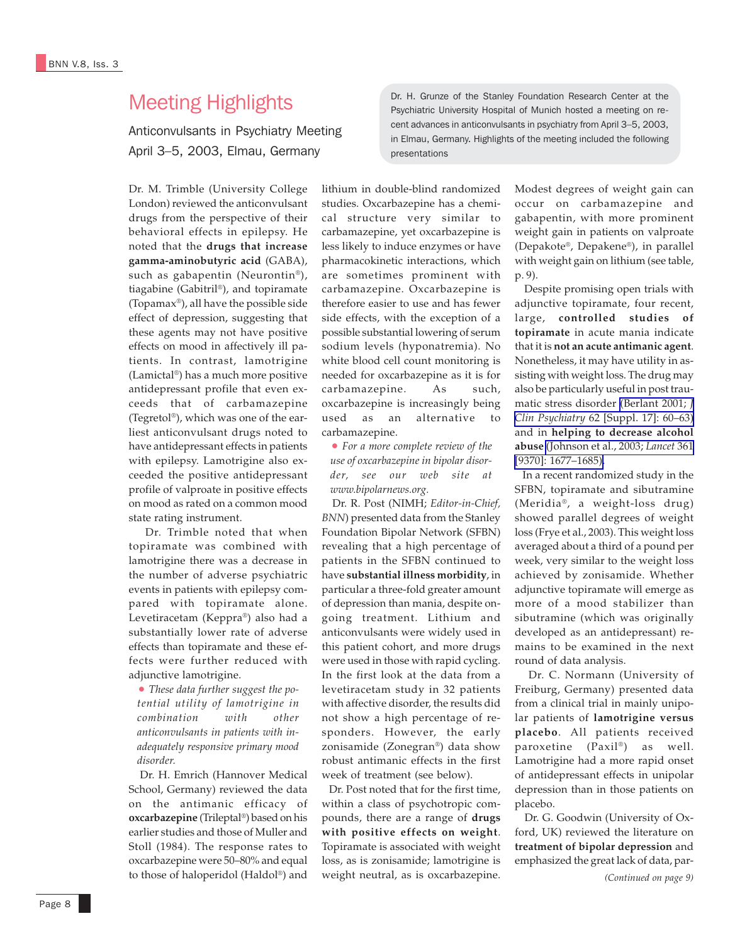# Meeting Highlights

Anticonvulsants in Psychiatry Meeting April 3–5, 2003, Elmau, Germany

Dr. M. Trimble (University College London) reviewed the anticonvulsant drugs from the perspective of their behavioral effects in epilepsy. He noted that the **drugs that increase gamma-aminobutyric acid** (GABA), such as gabapentin (Neurontin®), tiagabine (Gabitril®), and topiramate (Topamax®), all have the possible side effect of depression, suggesting that these agents may not have positive effects on mood in affectively ill patients. In contrast, lamotrigine (Lamictal®) has a much more positive antidepressant profile that even exceeds that of carbamazepine (Tegretol®), which was one of the earliest anticonvulsant drugs noted to have antidepressant effects in patients with epilepsy. Lamotrigine also exceeded the positive antidepressant profile of valproate in positive effects on mood as rated on a common mood state rating instrument.

 Dr. Trimble noted that when topiramate was combined with lamotrigine there was a decrease in the number of adverse psychiatric events in patients with epilepsy compared with topiramate alone. Levetiracetam (Keppra®) also had a substantially lower rate of adverse effects than topiramate and these effects were further reduced with adjunctive lamotrigine.

• *These data further suggest the potential utility of lamotrigine in combination with other anticonvulsants in patients with inadequately responsive primary mood disorder.*

 Dr. H. Emrich (Hannover Medical School, Germany) reviewed the data on the antimanic efficacy of **oxcarbazepine** (Trileptal®) based on his earlier studies and those of Muller and Stoll (1984). The response rates to oxcarbazepine were 50–80% and equal to those of haloperidol (Haldol®) and lithium in double-blind randomized studies. Oxcarbazepine has a chemical structure very similar to carbamazepine, yet oxcarbazepine is less likely to induce enzymes or have pharmacokinetic interactions, which are sometimes prominent with carbamazepine. Oxcarbazepine is therefore easier to use and has fewer side effects, with the exception of a possible substantial lowering of serum sodium levels (hyponatremia). No white blood cell count monitoring is needed for oxcarbazepine as it is for carbamazepine. As such, oxcarbazepine is increasingly being used as an alternative to carbamazepine.

• *For a more complete review of the use of oxcarbazepine in bipolar disorder, see our web site at www.bipolarnews.org.*

 Dr. R. Post (NIMH; *Editor-in-Chief, BNN*) presented data from the Stanley Foundation Bipolar Network (SFBN) revealing that a high percentage of patients in the SFBN continued to have **substantial illness morbidity**, in particular a three-fold greater amount of depression than mania, despite ongoing treatment. Lithium and anticonvulsants were widely used in this patient cohort, and more drugs were used in those with rapid cycling. In the first look at the data from a levetiracetam study in 32 patients with affective disorder, the results did not show a high percentage of responders. However, the early zonisamide (Zonegran®) data show robust antimanic effects in the first week of treatment (see below).

 Dr. Post noted that for the first time, within a class of psychotropic compounds, there are a range of **drugs with positive effects on weight**. Topiramate is associated with weight loss, as is zonisamide; lamotrigine is weight neutral, as is oxcarbazepine.

Dr. H. Grunze of the Stanley Foundation Research Center at the Psychiatric University Hospital of Munich hosted a meeting on recent advances in anticonvulsants in psychiatry from April 3–5, 2003, in Elmau, Germany. Highlights of the meeting included the following presentations

> Modest degrees of weight gain can occur on carbamazepine and gabapentin, with more prominent weight gain in patients on valproate (Depakote®, Depakene®), in parallel with weight gain on lithium (see table, p. 9).

> Despite promising open trials with adjunctive topiramate, four recent, large, **controlled studies of topiramate** in acute mania indicate that it is **not an acute antimanic agent**. Nonetheless, it may have utility in assisting with weight loss. The drug may also be particularly useful in post traumatic stress disorder [\(Berlant 2001;](http://www.ncbi.nlm.nih.gov/entrez/query.fcgi?cmd=Retrieve&db=PubMed&list_uids=11495099&dopt=Abstract) *J Clin Psychiatry* [62 \[Suppl. 17\]: 60–63\)](http://www.ncbi.nlm.nih.gov/entrez/query.fcgi?cmd=Retrieve&db=PubMed&list_uids=11495099&dopt=Abstract) and in **helping to decrease alcohol abuse** [\(Johnson et al., 2003;](http://www.ncbi.nlm.nih.gov/entrez/query.fcgi?cmd=Retrieve&db=PubMed&list_uids=12767733&dopt=Abstract) *Lancet* 361 [\[9370\]: 1677–1685\).](http://www.ncbi.nlm.nih.gov/entrez/query.fcgi?cmd=Retrieve&db=PubMed&list_uids=12767733&dopt=Abstract)

> In a recent randomized study in the SFBN, topiramate and sibutramine (Meridia®, a weight-loss drug) showed parallel degrees of weight loss (Frye et al., 2003). This weight loss averaged about a third of a pound per week, very similar to the weight loss achieved by zonisamide. Whether adjunctive topiramate will emerge as more of a mood stabilizer than sibutramine (which was originally developed as an antidepressant) remains to be examined in the next round of data analysis.

> Dr. C. Normann (University of Freiburg, Germany) presented data from a clinical trial in mainly unipolar patients of **lamotrigine versus placebo**. All patients received paroxetine (Paxil®) as well. Lamotrigine had a more rapid onset of antidepressant effects in unipolar depression than in those patients on placebo.

 Dr. G. Goodwin (University of Oxford, UK) reviewed the literature on **treatment of bipolar depression** and emphasized the great lack of data, par-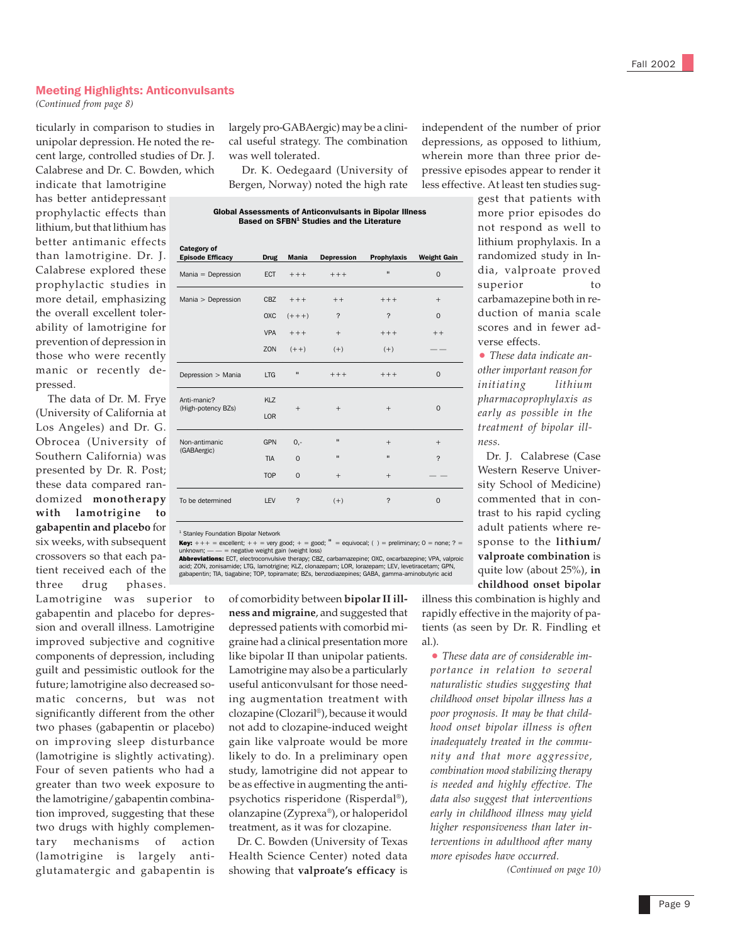### Meeting Highlights: Anticonvulsants

*(Continued from page 8)*

ticularly in comparison to studies in unipolar depression. He noted the recent large, controlled studies of Dr. J. Calabrese and Dr. C. Bowden, which

indicate that lamotrigine has better antidepressant prophylactic effects than lithium, but that lithium has better antimanic effects than lamotrigine. Dr. J. Calabrese explored these prophylactic studies in more detail, emphasizing the overall excellent tolerability of lamotrigine for prevention of depression in those who were recently manic or recently depressed.

 The data of Dr. M. Frye (University of California at Los Angeles) and Dr. G. Obrocea (University of Southern California) was presented by Dr. R. Post; these data compared randomized **monotherapy with lamotrigine to gabapentin and placebo** for six weeks, with subsequent crossovers so that each patient received each of the three drug phases.

Lamotrigine was superior to gabapentin and placebo for depression and overall illness. Lamotrigine improved subjective and cognitive components of depression, including guilt and pessimistic outlook for the future; lamotrigine also decreased somatic concerns, but was not significantly different from the other two phases (gabapentin or placebo) on improving sleep disturbance (lamotrigine is slightly activating). Four of seven patients who had a greater than two week exposure to the lamotrigine/gabapentin combination improved, suggesting that these two drugs with highly complementary mechanisms of action (lamotrigine is largely antiglutamatergic and gabapentin is

largely pro-GABAergic) may be a clinical useful strategy. The combination was well tolerated.

 Dr. K. Oedegaard (University of Bergen, Norway) noted the high rate

Global Assessments of Anticonvulsants in Bipolar Illness Based on SFBN<sup>1</sup> Studies and the Literature

| <b>Category of</b><br><b>Episode Efficacy</b> | <b>Drug</b>       | <b>Mania</b>   | <b>Depression</b> | Prophylaxis  | <b>Weight Gain</b>       |
|-----------------------------------------------|-------------------|----------------|-------------------|--------------|--------------------------|
| $Mania = Depression$                          | <b>ECT</b>        | $+++$          | $+++$             | $\mathbf{u}$ | $\mathbf 0$              |
| Mania > Depression                            | <b>CBZ</b>        | $+++$          | $++$              | $+++$        | $^{+}$                   |
|                                               | OXC               | $(+ + +)$      | ?                 | ?            | $\Omega$                 |
|                                               | <b>VPA</b>        | $+++$          | $+$               | $+++$        | $++$                     |
|                                               | ZON               | $(+ +)$        | $(+)$             | $(+)$        |                          |
| Depression > Mania                            | <b>LTG</b>        | $\blacksquare$ | $+++$             | $+++$        | $\mathbf 0$              |
| Anti-manic?<br>(High-potency BZs)             | KLZ<br><b>LOR</b> | $+$            | $+$               | $+$          | $\mathbf 0$              |
| Non-antimanic<br>(GABAergic)                  | <b>GPN</b>        | $0,-$          | $\blacksquare$    | $^{+}$       | $^{+}$                   |
|                                               | <b>TIA</b>        | $\mathbf 0$    | $\mathbf{u}$      | $\mathbf{u}$ | $\overline{\phantom{0}}$ |
|                                               | <b>TOP</b>        | $\Omega$       | $+$               | $+$          |                          |
| To be determined                              | <b>LFV</b>        | ?              | $(+)$             | ?            | $\mathbf 0$              |
|                                               |                   |                |                   |              |                          |

<sup>1</sup> Stanley Foundation Bipolar Network

**Key:**  $+++$  = excellent;  $++$  = very good;  $+$  = good;  $"$  = equivocal; ( ) = preliminary; 0 = none; ? = unknown; — — = negative weight gain (weight loss)

**Abbreviations:** ECT, electroconvulsive therapy; CBZ, carbamazepine; OXC, oxcarbazepine; VPA, valproic<br>acid; ZON, zonisamide; LTG, lamotrigine; KLZ, clonazepam; LOR, lorazepam; LEV, levetiracetam; GPN<br>gabapentin; TIA, tiag

of comorbidity between **bipolar II illness and migraine**, and suggested that depressed patients with comorbid migraine had a clinical presentation more like bipolar II than unipolar patients. Lamotrigine may also be a particularly useful anticonvulsant for those needing augmentation treatment with clozapine (Clozaril®), because it would not add to clozapine-induced weight gain like valproate would be more likely to do. In a preliminary open study, lamotrigine did not appear to be as effective in augmenting the antipsychotics risperidone (Risperdal®), olanzapine (Zyprexa®), or haloperidol treatment, as it was for clozapine.

 Dr. C. Bowden (University of Texas Health Science Center) noted data showing that **valproate's efficacy** is

independent of the number of prior depressions, as opposed to lithium, wherein more than three prior depressive episodes appear to render it less effective. At least ten studies sug-

> gest that patients with more prior episodes do not respond as well to lithium prophylaxis. In a randomized study in India, valproate proved superior to carbamazepine both in reduction of mania scale scores and in fewer adverse effects.

• *These data indicate another important reason for initiating lithium pharmacoprophylaxis as early as possible in the treatment of bipolar illness.*

 Dr. J. Calabrese (Case Western Reserve University School of Medicine) commented that in contrast to his rapid cycling adult patients where response to the **lithium/ valproate combination** is quite low (about 25%), **in childhood onset bipolar**

illness this combination is highly and rapidly effective in the majority of patients (as seen by Dr. R. Findling et al.).

• *These data are of considerable importance in relation to several naturalistic studies suggesting that childhood onset bipolar illness has a poor prognosis. It may be that childhood onset bipolar illness is often inadequately treated in the community and that more aggressive, combination mood stabilizing therapy is needed and highly effective. The data also suggest that interventions early in childhood illness may yield higher responsiveness than later interventions in adulthood after many more episodes have occurred.*

*(Continued on page 10)*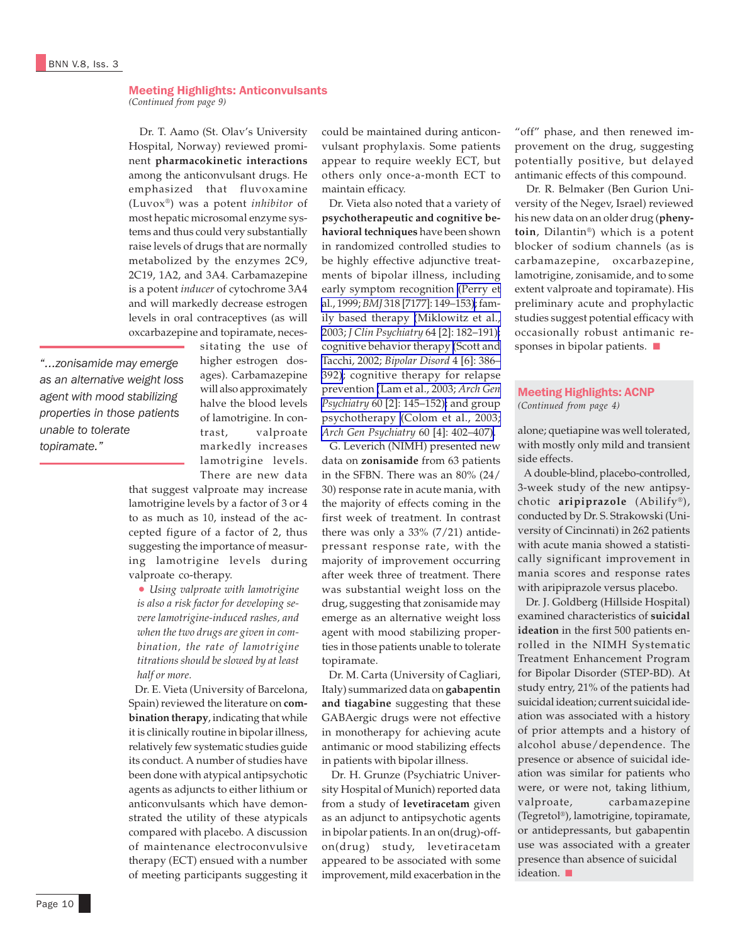### Meeting Highlights: Anticonvulsants *(Continued from page 9)*

 Dr. T. Aamo (St. Olav's University Hospital, Norway) reviewed prominent **pharmacokinetic interactions** among the anticonvulsant drugs. He emphasized that fluvoxamine (Luvox®) was a potent *inhibitor* of most hepatic microsomal enzyme systems and thus could very substantially raise levels of drugs that are normally metabolized by the enzymes 2C9, 2C19, 1A2, and 3A4. Carbamazepine is a potent *inducer* of cytochrome 3A4 and will markedly decrease estrogen levels in oral contraceptives (as will oxcarbazepine and topiramate, neces-

*"...zonisamide may emerge as an alternative weight loss agent with mood stabilizing properties in those patients unable to tolerate topiramate."*

sitating the use of higher estrogen dosages). Carbamazepine will also approximately halve the blood levels of lamotrigine. In contrast, valproate markedly increases lamotrigine levels. There are new data

that suggest valproate may increase lamotrigine levels by a factor of 3 or 4 to as much as 10, instead of the accepted figure of a factor of 2, thus suggesting the importance of measuring lamotrigine levels during valproate co-therapy.

• *Using valproate with lamotrigine is also a risk factor for developing severe lamotrigine-induced rashes, and when the two drugs are given in combination, the rate of lamotrigine titrations should be slowed by at least half or more.*

 Dr. E. Vieta (University of Barcelona, Spain) reviewed the literature on **combination therapy**, indicating that while it is clinically routine in bipolar illness, relatively few systematic studies guide its conduct. A number of studies have been done with atypical antipsychotic agents as adjuncts to either lithium or anticonvulsants which have demonstrated the utility of these atypicals compared with placebo. A discussion of maintenance electroconvulsive therapy (ECT) ensued with a number of meeting participants suggesting it

could be maintained during anticonvulsant prophylaxis. Some patients appear to require weekly ECT, but others only once-a-month ECT to maintain efficacy.

 Dr. Vieta also noted that a variety of **psychotherapeutic and cognitive behavioral techniques** have been shown in randomized controlled studies to be highly effective adjunctive treatments of bipolar illness, including early symptom recognition [\(Perry et](http://www.ncbi.nlm.nih.gov/entrez/query.fcgi?cmd=Retrieve&db=PubMed&list_uids=9888904&dopt=Abstract) al., 1999; *BMJ* [318 \[7177\]: 149–153\)](http://www.ncbi.nlm.nih.gov/entrez/query.fcgi?cmd=Retrieve&db=PubMed&list_uids=9888904&dopt=Abstract); family based therapy [\(Miklowitz et al.,](http://www.ncbi.nlm.nih.gov/entrez/query.fcgi?cmd=Retrieve&db=PubMed&list_uids=12633127&dopt=Abstract) 2003; *J Clin Psychiatry* [64 \[2\]: 182–191\);](http://www.ncbi.nlm.nih.gov/entrez/query.fcgi?cmd=Retrieve&db=PubMed&list_uids=12633127&dopt=Abstract) cognitive behavior therapy [\(Scott and](http://www.ncbi.nlm.nih.gov/entrez/query.fcgi?cmd=Retrieve&db=PubMed&list_uids=12519098&dopt=Abstract) Tacchi, 2002; *[Bipolar Disord](http://www.ncbi.nlm.nih.gov/entrez/query.fcgi?cmd=Retrieve&db=PubMed&list_uids=12519098&dopt=Abstract)* 4 [6]: 386– [392\)](http://www.ncbi.nlm.nih.gov/entrez/query.fcgi?cmd=Retrieve&db=PubMed&list_uids=12519098&dopt=Abstract); cognitive therapy for relapse prevention [\(Lam et al., 2003;](http://www.ncbi.nlm.nih.gov/entrez/query.fcgi?cmd=Retrieve&db=PubMed&list_uids=12578431&dopt=Abstract) *Arch Gen Psychiatry* [60 \[2\]: 145–152\);](http://www.ncbi.nlm.nih.gov/entrez/query.fcgi?cmd=Retrieve&db=PubMed&list_uids=12578431&dopt=Abstract) and group psychotherapy [\(Colom et al., 2003;](http://www.ncbi.nlm.nih.gov/entrez/query.fcgi?cmd=Retrieve&db=PubMed&list_uids=12695318&dopt=Abstract) *[Arch Gen Psychiatry](http://www.ncbi.nlm.nih.gov/entrez/query.fcgi?cmd=Retrieve&db=PubMed&list_uids=12695318&dopt=Abstract)* 60 [4]: 402–407).

 G. Leverich (NIMH) presented new data on **zonisamide** from 63 patients in the SFBN. There was an 80% (24/ 30) response rate in acute mania, with the majority of effects coming in the first week of treatment. In contrast there was only a  $33\%$  (7/21) antidepressant response rate, with the majority of improvement occurring after week three of treatment. There was substantial weight loss on the drug, suggesting that zonisamide may emerge as an alternative weight loss agent with mood stabilizing properties in those patients unable to tolerate topiramate.

 Dr. M. Carta (University of Cagliari, Italy) summarized data on **gabapentin and tiagabine** suggesting that these GABAergic drugs were not effective in monotherapy for achieving acute antimanic or mood stabilizing effects in patients with bipolar illness.

 Dr. H. Grunze (Psychiatric University Hospital of Munich) reported data from a study of **levetiracetam** given as an adjunct to antipsychotic agents in bipolar patients. In an on(drug)-offon(drug) study, levetiracetam appeared to be associated with some improvement, mild exacerbation in the

"off" phase, and then renewed improvement on the drug, suggesting potentially positive, but delayed antimanic effects of this compound.

 Dr. R. Belmaker (Ben Gurion University of the Negev, Israel) reviewed his new data on an older drug (**phenytoin**, Dilantin®) which is a potent blocker of sodium channels (as is carbamazepine, oxcarbazepine, lamotrigine, zonisamide, and to some extent valproate and topiramate). His preliminary acute and prophylactic studies suggest potential efficacy with occasionally robust antimanic responses in bipolar patients. ■

### Meeting Highlights: ACNP *(Continued from page 4)*

alone; quetiapine was well tolerated, with mostly only mild and transient side effects.

 A double-blind, placebo-controlled, 3-week study of the new antipsychotic **aripiprazole** (Abilify®), conducted by Dr. S. Strakowski (University of Cincinnati) in 262 patients with acute mania showed a statistically significant improvement in mania scores and response rates with aripiprazole versus placebo.

 Dr. J. Goldberg (Hillside Hospital) examined characteristics of **suicidal ideation** in the first 500 patients enrolled in the NIMH Systematic Treatment Enhancement Program for Bipolar Disorder (STEP-BD). At study entry, 21% of the patients had suicidal ideation; current suicidal ideation was associated with a history of prior attempts and a history of alcohol abuse/dependence. The presence or absence of suicidal ideation was similar for patients who were, or were not, taking lithium, valproate, carbamazepine (Tegretol®), lamotrigine, topiramate, or antidepressants, but gabapentin use was associated with a greater presence than absence of suicidal ideation. ■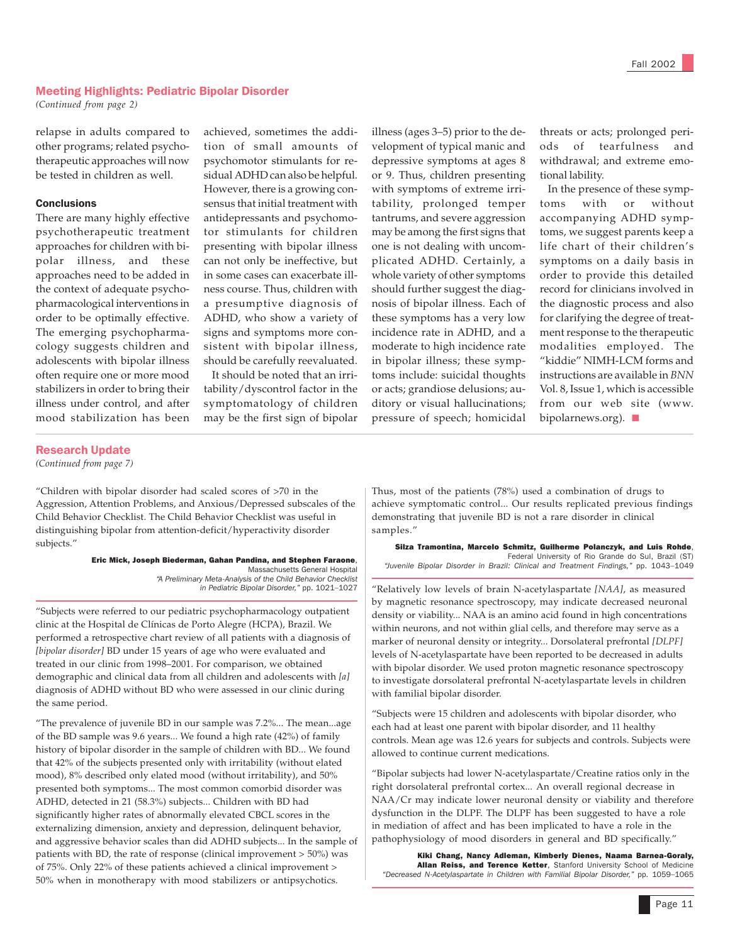### Meeting Highlights: Pediatric Bipolar Disorder

*(Continued from page 2)*

relapse in adults compared to other programs; related psychotherapeutic approaches will now be tested in children as well.

### **Conclusions**

There are many highly effective psychotherapeutic treatment approaches for children with bipolar illness, and these approaches need to be added in the context of adequate psychopharmacological interventions in order to be optimally effective. The emerging psychopharmacology suggests children and adolescents with bipolar illness often require one or more mood stabilizers in order to bring their illness under control, and after mood stabilization has been

achieved, sometimes the addition of small amounts of psychomotor stimulants for residual ADHD can also be helpful. However, there is a growing consensus that initial treatment with antidepressants and psychomotor stimulants for children presenting with bipolar illness can not only be ineffective, but in some cases can exacerbate illness course. Thus, children with a presumptive diagnosis of ADHD, who show a variety of signs and symptoms more consistent with bipolar illness, should be carefully reevaluated.

 It should be noted that an irritability/dyscontrol factor in the symptomatology of children may be the first sign of bipolar

illness (ages 3–5) prior to the development of typical manic and depressive symptoms at ages 8 or 9. Thus, children presenting with symptoms of extreme irritability, prolonged temper tantrums, and severe aggression may be among the first signs that one is not dealing with uncomplicated ADHD. Certainly, a whole variety of other symptoms should further suggest the diagnosis of bipolar illness. Each of these symptoms has a very low incidence rate in ADHD, and a moderate to high incidence rate in bipolar illness; these symptoms include: suicidal thoughts or acts; grandiose delusions; auditory or visual hallucinations; pressure of speech; homicidal

threats or acts; prolonged periods of tearfulness and withdrawal; and extreme emotional lability.

 In the presence of these symptoms with or without accompanying ADHD symptoms, we suggest parents keep a life chart of their children's symptoms on a daily basis in order to provide this detailed record for clinicians involved in the diagnostic process and also for clarifying the degree of treatment response to the therapeutic modalities employed. The "kiddie" NIMH-LCM forms and instructions are available in *BNN* Vol. 8, Issue 1, which is accessible from our web site (www. bipolarnews.org). ■

### Research Update

*(Continued from page 7)*

"Children with bipolar disorder had scaled scores of >70 in the Aggression, Attention Problems, and Anxious/Depressed subscales of the Child Behavior Checklist. The Child Behavior Checklist was useful in distinguishing bipolar from attention-deficit/hyperactivity disorder subjects."

> Eric Mick, Joseph Biederman, Gahan Pandina, and Stephen Faraone, Massachusetts General Hospital *"A Preliminary Meta-Analysis of the Child Behavior Checklist in Pediatric Bipolar Disorder,"* pp. 1021–1027

"Subjects were referred to our pediatric psychopharmacology outpatient clinic at the Hospital de Clínicas de Porto Alegre (HCPA), Brazil. We performed a retrospective chart review of all patients with a diagnosis of *[bipolar disorder]* BD under 15 years of age who were evaluated and treated in our clinic from 1998–2001. For comparison, we obtained demographic and clinical data from all children and adolescents with *[a]* diagnosis of ADHD without BD who were assessed in our clinic during the same period.

"The prevalence of juvenile BD in our sample was 7.2%... The mean...age of the BD sample was 9.6 years... We found a high rate (42%) of family history of bipolar disorder in the sample of children with BD... We found that 42% of the subjects presented only with irritability (without elated mood), 8% described only elated mood (without irritability), and 50% presented both symptoms... The most common comorbid disorder was ADHD, detected in 21 (58.3%) subjects... Children with BD had significantly higher rates of abnormally elevated CBCL scores in the externalizing dimension, anxiety and depression, delinquent behavior, and aggressive behavior scales than did ADHD subjects... In the sample of patients with BD, the rate of response (clinical improvement > 50%) was of 75%. Only 22% of these patients achieved a clinical improvement > 50% when in monotherapy with mood stabilizers or antipsychotics.

Thus, most of the patients (78%) used a combination of drugs to achieve symptomatic control... Our results replicated previous findings demonstrating that juvenile BD is not a rare disorder in clinical samples."

Silza Tramontina, Marcelo Schmitz, Guilherme Polanczyk, and Luis Rohde, Federal University of Rio Grande do Sul, Brazil (ST) *"Juvenile Bipolar Disorder in Brazil: Clinical and Treatment Findings,"* pp. 1043–1049

"Relatively low levels of brain N-acetylaspartate *[NAA]*, as measured by magnetic resonance spectroscopy, may indicate decreased neuronal density or viability... NAA is an amino acid found in high concentrations within neurons, and not within glial cells, and therefore may serve as a marker of neuronal density or integrity... Dorsolateral prefrontal *[DLPF]* levels of N-acetylaspartate have been reported to be decreased in adults with bipolar disorder. We used proton magnetic resonance spectroscopy to investigate dorsolateral prefrontal N-acetylaspartate levels in children with familial bipolar disorder.

"Subjects were 15 children and adolescents with bipolar disorder, who each had at least one parent with bipolar disorder, and 11 healthy controls. Mean age was 12.6 years for subjects and controls. Subjects were allowed to continue current medications.

"Bipolar subjects had lower N-acetylaspartate/Creatine ratios only in the right dorsolateral prefrontal cortex... An overall regional decrease in NAA/Cr may indicate lower neuronal density or viability and therefore dysfunction in the DLPF. The DLPF has been suggested to have a role in mediation of affect and has been implicated to have a role in the pathophysiology of mood disorders in general and BD specifically."

**Kiki Chang, Nancy Adleman, Kimberly Dienes, Naama Barnea-Goraly,**<br>**Allan Reiss, and Terence Ketter**, Stanford University School of Medicine *"Decreased N-Acetylaspartate in Children with Familial Bipolar Disorder,"* pp. 1059–1065